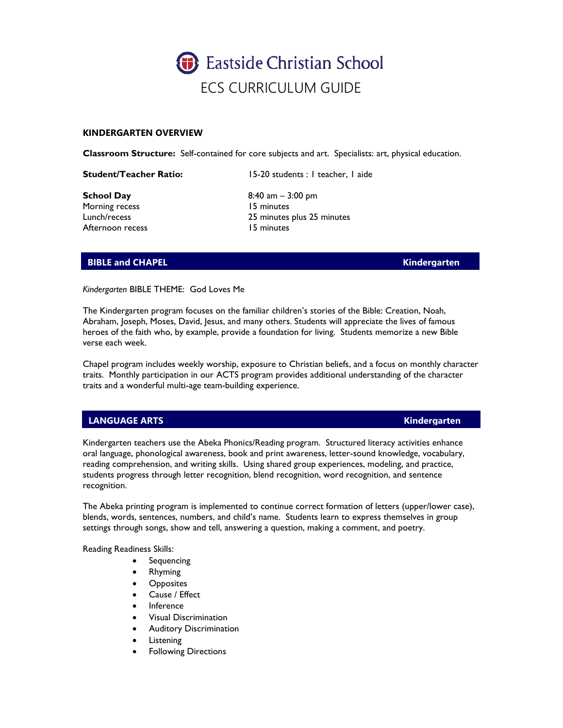

### **KINDERGARTEN OVERVIEW**

**Classroom Structure:** Self-contained for core subjects and art. Specialists: art, physical education.

**Student/Teacher Ratio:** 15-20 students : 1 teacher, 1 aide

**School Day** 8:40 am – 3:00 pm Morning recess 15 minutes Afternoon recess 15 minutes

Lunch/recess 25 minutes plus 25 minutes

## **BIBLE and CHAPEL Research CHAPEL CHAPEL Research CHAPEL Kindergarten**

*Kindergarten* BIBLE THEME: God Loves Me

The Kindergarten program focuses on the familiar children's stories of the Bible: Creation, Noah, Abraham, Joseph, Moses, David, Jesus, and many others. Students will appreciate the lives of famous heroes of the faith who, by example, provide a foundation for living. Students memorize a new Bible verse each week.

Chapel program includes weekly worship, exposure to Christian beliefs, and a focus on monthly character traits. Monthly participation in our ACTS program provides additional understanding of the character traits and a wonderful multi-age team-building experience.

## **LANGUAGE ARTS Kindergarten**

Kindergarten teachers use the Abeka Phonics/Reading program. Structured literacy activities enhance oral language, phonological awareness, book and print awareness, letter-sound knowledge, vocabulary, reading comprehension, and writing skills. Using shared group experiences, modeling, and practice, students progress through letter recognition, blend recognition, word recognition, and sentence recognition.

The Abeka printing program is implemented to continue correct formation of letters (upper/lower case), blends, words, sentences, numbers, and child's name. Students learn to express themselves in group settings through songs, show and tell, answering a question, making a comment, and poetry.

Reading Readiness Skills:

- Sequencing
- Rhyming
- **Opposites**
- Cause / Effect
- Inference
- Visual Discrimination
- Auditory Discrimination
- **Listening**
- **Following Directions**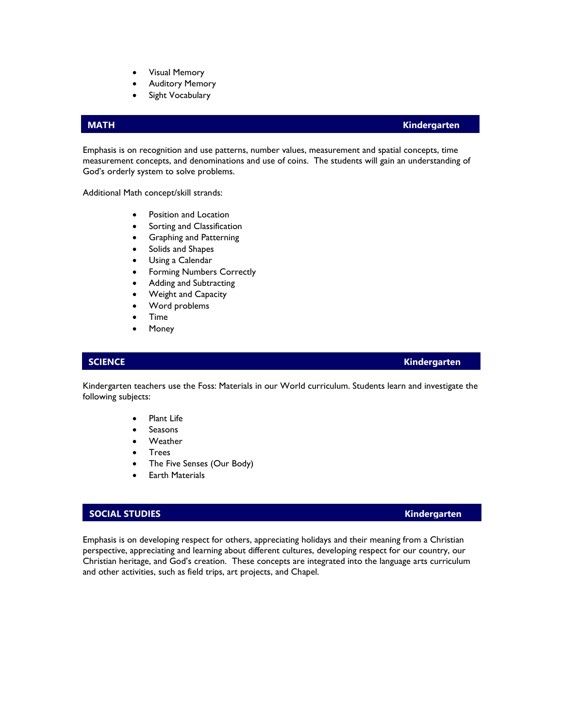- Visual Memory
- **Auditory Memory**
- Sight Vocabulary

### **MATH Kindergarten**

Emphasis is on recognition and use patterns, number values, measurement and spatial concepts, time measurement concepts, and denominations and use of coins. The students will gain an understanding of God's orderly system to solve problems.

Additional Math concept/skill strands:

- Position and Location
- Sorting and Classification
- Graphing and Patterning
- Solids and Shapes
- Using a Calendar
- Forming Numbers Correctly
- Adding and Subtracting
- Weight and Capacity
- Word problems
- Time
- **Money**

### **SCIENCE Kindergarten**

Kindergarten teachers use the Foss: Materials in our World curriculum. Students learn and investigate the following subjects:

- Plant Life
- **Seasons**
- **Weather**
- Trees
- The Five Senses (Our Body)
- **Earth Materials**

### **SOCIAL STUDIES Kindergarten**

Emphasis is on developing respect for others, appreciating holidays and their meaning from a Christian perspective, appreciating and learning about different cultures, developing respect for our country, our Christian heritage, and God's creation. These concepts are integrated into the language arts curriculum and other activities, such as field trips, art projects, and Chapel.